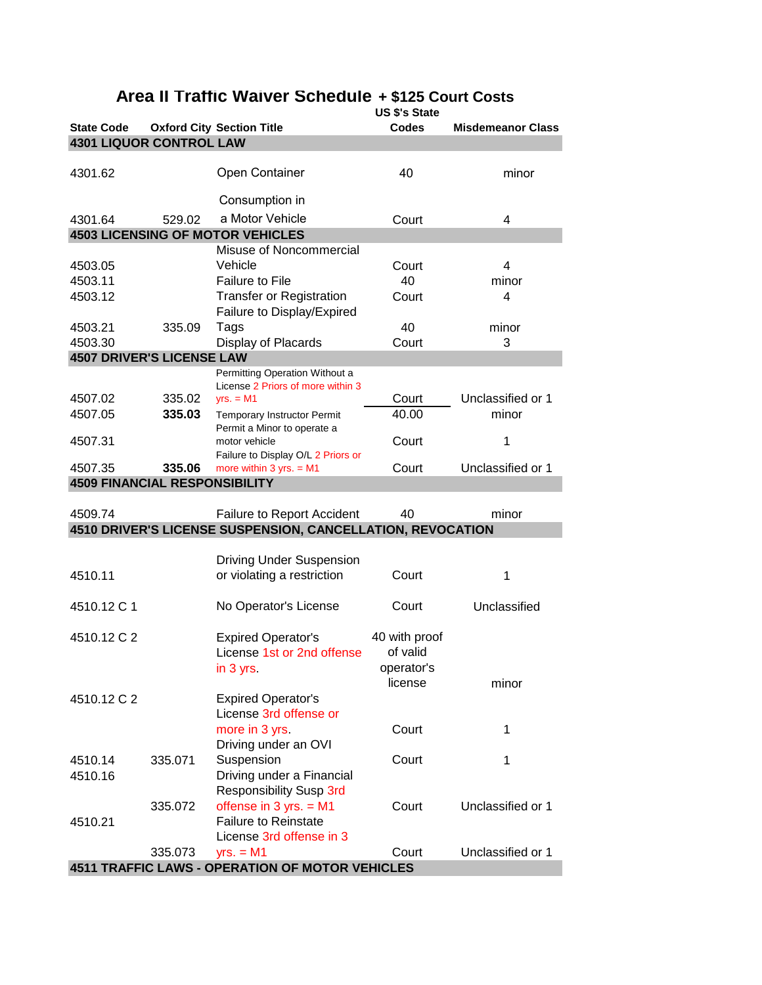## **Area II Traffic Waiver Schedule + \$125 Court Costs**

**US \$'s State** 

| <b>State Code</b>                    |         | <b>Oxford City Section Title</b>                                    | <b>Codes</b>  | <b>Misdemeanor Class</b> |
|--------------------------------------|---------|---------------------------------------------------------------------|---------------|--------------------------|
| <b>4301 LIQUOR CONTROL LAW</b>       |         |                                                                     |               |                          |
| 4301.62                              |         | Open Container                                                      | 40            | minor                    |
|                                      |         | Consumption in                                                      |               |                          |
| 4301.64                              | 529.02  | a Motor Vehicle                                                     | Court         | 4                        |
|                                      |         | <b>4503 LICENSING OF MOTOR VEHICLES</b>                             |               |                          |
|                                      |         | Misuse of Noncommercial                                             |               |                          |
| 4503.05                              |         | Vehicle                                                             | Court         | 4                        |
| 4503.11                              |         | <b>Failure to File</b>                                              | 40            | minor                    |
| 4503.12                              |         | <b>Transfer or Registration</b>                                     | Court         | 4                        |
|                                      |         | Failure to Display/Expired                                          |               |                          |
| 4503.21                              | 335.09  | Tags                                                                | 40            | minor                    |
| 4503.30                              |         | Display of Placards                                                 | Court         | 3                        |
| <b>4507 DRIVER'S LICENSE LAW</b>     |         |                                                                     |               |                          |
|                                      |         | Permitting Operation Without a<br>License 2 Priors of more within 3 |               |                          |
| 4507.02                              | 335.02  | $yrs. = M1$                                                         | Court         | Unclassified or 1        |
| 4507.05                              | 335.03  | Temporary Instructor Permit<br>Permit a Minor to operate a          | 40.00         | minor                    |
| 4507.31                              |         | motor vehicle<br>Failure to Display O/L 2 Priors or                 | Court         | 1                        |
| 4507.35                              | 335.06  | more within $3 yrs. = M1$                                           | Court         | Unclassified or 1        |
| <b>4509 FINANCIAL RESPONSIBILITY</b> |         |                                                                     |               |                          |
|                                      |         |                                                                     | 40            |                          |
| 4509.74                              |         | Failure to Report Accident                                          |               | minor                    |
|                                      |         | 4510 DRIVER'S LICENSE SUSPENSION, CANCELLATION, REVOCATION          |               |                          |
|                                      |         |                                                                     |               |                          |
| 4510.11                              |         | <b>Driving Under Suspension</b><br>or violating a restriction       | Court         | 1                        |
|                                      |         |                                                                     |               |                          |
| 4510.12 C 1                          |         | No Operator's License                                               | Court         | Unclassified             |
| 4510.12 C 2                          |         | <b>Expired Operator's</b>                                           | 40 with proof |                          |
|                                      |         | License 1st or 2nd offense                                          | of valid      |                          |
|                                      |         | in 3 yrs                                                            | operator's    |                          |
|                                      |         |                                                                     | license       | minor                    |
| 4510.12 C 2                          |         | <b>Expired Operator's</b><br>License 3rd offense or                 |               |                          |
|                                      |         | more in 3 yrs.                                                      | Court         | 1                        |
|                                      |         | Driving under an OVI                                                |               |                          |
| 4510.14                              | 335.071 | Suspension                                                          | Court         | 1                        |
| 4510.16                              |         | Driving under a Financial                                           |               |                          |
|                                      |         | <b>Responsibility Susp 3rd</b>                                      |               |                          |
|                                      | 335.072 | offense in $3$ yrs. = M1                                            | Court         | Unclassified or 1        |
| 4510.21                              |         | <b>Failure to Reinstate</b>                                         |               |                          |
|                                      |         |                                                                     |               |                          |
|                                      |         | License 3rd offense in 3                                            |               |                          |
|                                      | 335.073 | $yrs. = M1$<br>4511 TRAFFIC LAWS - OPERATION OF MOTOR VEHICLES      | Court         | Unclassified or 1        |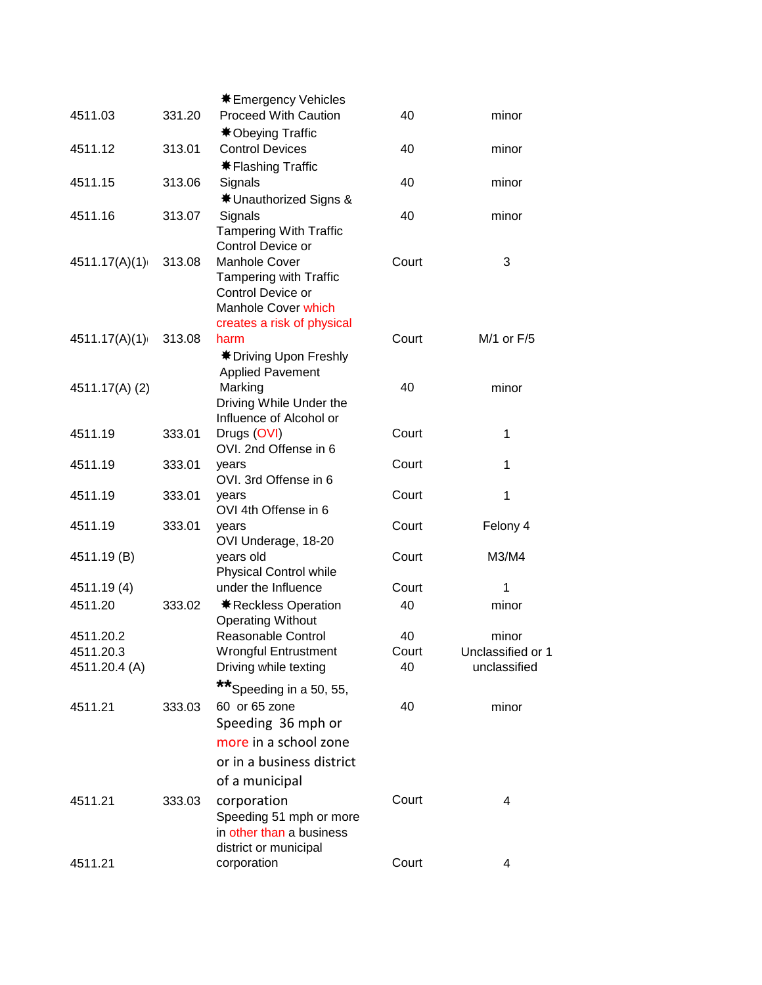|                |        | <b><math>*</math>Emergency Vehicles</b>    |       |                   |
|----------------|--------|--------------------------------------------|-------|-------------------|
| 4511.03        | 331.20 | <b>Proceed With Caution</b>                | 40    | minor             |
|                |        | <b><math>*</math> Obeying Traffic</b>      |       |                   |
| 4511.12        | 313.01 | <b>Control Devices</b>                     | 40    | minor             |
|                |        | <b><math>*</math> Flashing Traffic</b>     |       |                   |
| 4511.15        | 313.06 | Signals                                    | 40    | minor             |
|                |        | <b><math>*</math></b> Unauthorized Signs & |       |                   |
| 4511.16        | 313.07 | Signals                                    | 40    | minor             |
|                |        | <b>Tampering With Traffic</b>              |       |                   |
|                |        | Control Device or                          |       |                   |
| 4511.17(A)(1)  | 313.08 | <b>Manhole Cover</b>                       | Court | 3                 |
|                |        | <b>Tampering with Traffic</b>              |       |                   |
|                |        | Control Device or                          |       |                   |
|                |        | Manhole Cover which                        |       |                   |
|                |        | creates a risk of physical                 |       |                   |
| 4511.17(A)(1)  | 313.08 | harm                                       | Court | M/1 or F/5        |
|                |        | <b><math>*</math> Driving Upon Freshly</b> |       |                   |
|                |        | <b>Applied Pavement</b>                    |       |                   |
| 4511.17(A) (2) |        | Marking                                    | 40    | minor             |
|                |        | Driving While Under the                    |       |                   |
|                |        | Influence of Alcohol or                    |       |                   |
| 4511.19        | 333.01 | Drugs (OVI)                                | Court | 1                 |
|                |        | OVI. 2nd Offense in 6                      |       |                   |
| 4511.19        | 333.01 | years                                      | Court | 1                 |
|                |        | OVI. 3rd Offense in 6                      |       |                   |
| 4511.19        | 333.01 | years                                      | Court | 1                 |
|                |        | OVI 4th Offense in 6                       |       |                   |
| 4511.19        | 333.01 | years                                      | Court | Felony 4          |
|                |        | OVI Underage, 18-20                        |       |                   |
| 4511.19 (B)    |        | years old                                  | Court | M3/M4             |
|                |        | <b>Physical Control while</b>              |       |                   |
| 4511.19 (4)    |        | under the Influence                        | Court | 1                 |
| 4511.20        | 333.02 | <b><math>*</math> Reckless Operation</b>   | 40    | minor             |
|                |        | <b>Operating Without</b>                   |       |                   |
| 4511.20.2      |        | Reasonable Control                         | 40    | minor             |
| 4511.20.3      |        | <b>Wrongful Entrustment</b>                | Court | Unclassified or 1 |
| 4511.20.4 (A)  |        | Driving while texting                      | 40    | unclassified      |
|                |        | ** Speeding in a 50, 55,                   |       |                   |
| 4511.21        | 333.03 | 60 or 65 zone                              | 40    | minor             |
|                |        | Speeding 36 mph or                         |       |                   |
|                |        | more in a school zone                      |       |                   |
|                |        | or in a business district                  |       |                   |
|                |        |                                            |       |                   |
|                |        | of a municipal                             |       |                   |
| 4511.21        | 333.03 | corporation                                | Court | 4                 |
|                |        | Speeding 51 mph or more                    |       |                   |
|                |        | in other than a business                   |       |                   |
|                |        | district or municipal                      |       |                   |
| 4511.21        |        | corporation                                | Court | 4                 |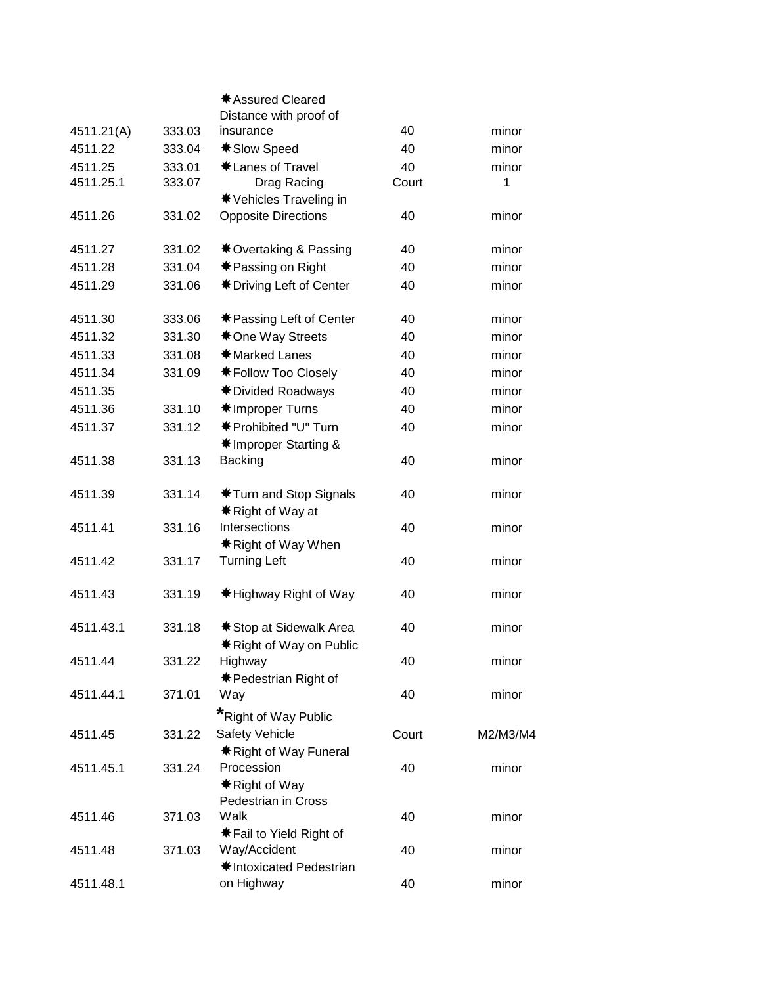|            |        | <b><math>*</math>Assured Cleared</b>                        |       |          |
|------------|--------|-------------------------------------------------------------|-------|----------|
|            |        | Distance with proof of                                      |       |          |
| 4511.21(A) | 333.03 | insurance                                                   | 40    | minor    |
| 4511.22    | 333.04 | <b><math>*</math> Slow Speed</b>                            | 40    | minor    |
| 4511.25    | 333.01 | <b><math>*</math>Lanes of Travel</b>                        | 40    | minor    |
| 4511.25.1  | 333.07 | Drag Racing                                                 | Court | 1        |
|            |        | <b><math>*</math></b> Vehicles Traveling in                 |       |          |
| 4511.26    | 331.02 | <b>Opposite Directions</b>                                  | 40    | minor    |
| 4511.27    | 331.02 | <b><math>*</math></b> Overtaking & Passing                  | 40    | minor    |
| 4511.28    | 331.04 | <b><math>*</math> Passing on Right</b>                      | 40    | minor    |
| 4511.29    | 331.06 | <b><math>*</math> Driving Left of Center</b>                | 40    | minor    |
| 4511.30    | 333.06 | <b><math>*</math> Passing Left of Center</b>                | 40    | minor    |
| 4511.32    | 331.30 | <b><math>*</math>One Way Streets</b>                        | 40    | minor    |
| 4511.33    | 331.08 | <b><math>*</math>Marked Lanes</b>                           | 40    | minor    |
| 4511.34    | 331.09 | <b><math>*</math> Follow Too Closely</b>                    | 40    | minor    |
| 4511.35    |        | <b><math>*</math> Divided Roadways</b>                      | 40    | minor    |
| 4511.36    | 331.10 | <b><math>*</math>Improper Turns</b>                         | 40    | minor    |
| 4511.37    | 331.12 | <b>*Prohibited "U" Turn</b>                                 | 40    | minor    |
|            |        | <b><math>*</math>Improper Starting &amp;</b>                |       |          |
| 4511.38    | 331.13 | <b>Backing</b>                                              | 40    | minor    |
| 4511.39    | 331.14 | <b><math>*</math> Turn and Stop Signals</b>                 | 40    | minor    |
|            |        | <b><math>*</math></b> Right of Way at                       |       |          |
| 4511.41    | 331.16 | Intersections                                               | 40    | minor    |
|            |        | <b><math>*</math>Right of Way When</b>                      |       |          |
| 4511.42    | 331.17 | <b>Turning Left</b>                                         | 40    | minor    |
| 4511.43    | 331.19 | <b><math>*</math> Highway Right of Way</b>                  | 40    | minor    |
| 4511.43.1  | 331.18 | <b><math>*</math> Stop at Sidewalk Area</b>                 | 40    | minor    |
|            |        | <b><math>*</math> Right of Way on Public</b>                |       |          |
| 4511.44    | 331.22 | Highway                                                     | 40    | minor    |
|            |        | <b><math>*</math> Pedestrian Right of</b>                   |       |          |
| 4511.44.1  | 371.01 | Way                                                         | 40    | minor    |
|            |        | *Right of Way Public                                        |       |          |
| 4511.45    | 331.22 | <b>Safety Vehicle</b>                                       | Court | M2/M3/M4 |
|            |        | <b>*Right of Way Funeral</b>                                |       |          |
| 4511.45.1  | 331.24 | Procession                                                  | 40    | minor    |
|            |        | <b><math>*</math>Right of Way</b>                           |       |          |
|            |        | Pedestrian in Cross                                         |       |          |
| 4511.46    | 371.03 | Walk                                                        | 40    | minor    |
|            |        | <b><math>*</math> Fail to Yield Right of</b>                |       |          |
| 4511.48    | 371.03 | Way/Accident<br><b><math>*</math>Intoxicated Pedestrian</b> | 40    | minor    |
| 4511.48.1  |        | on Highway                                                  | 40    | minor    |
|            |        |                                                             |       |          |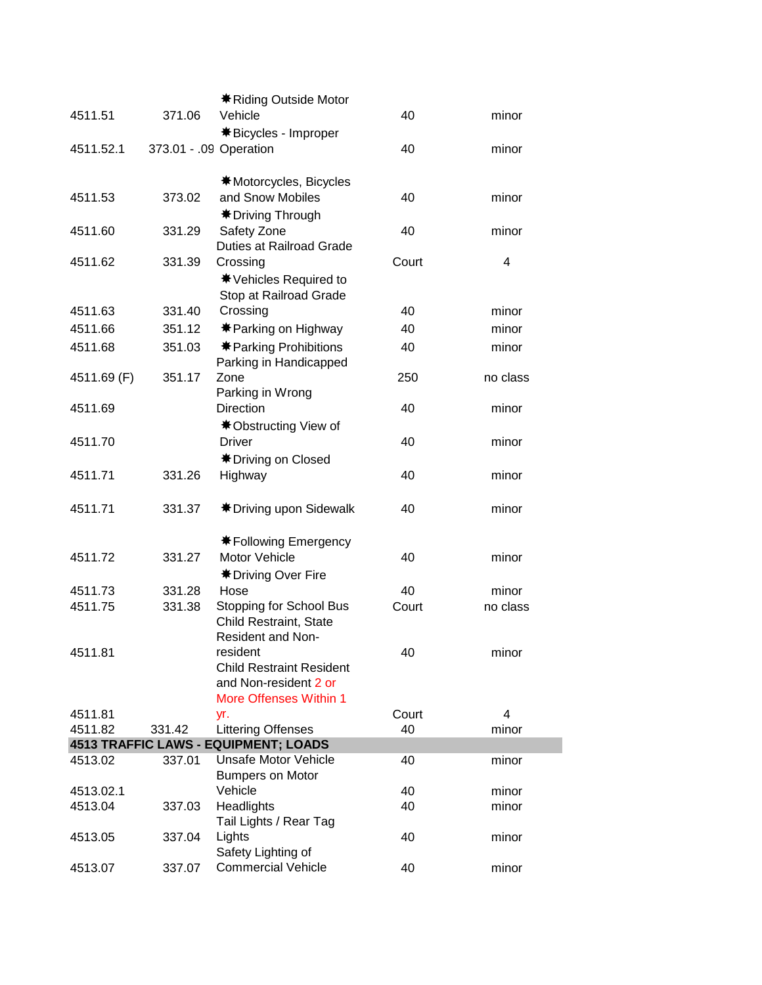|             |                        | <b><math>*</math>Riding Outside Motor</b>       |       |          |
|-------------|------------------------|-------------------------------------------------|-------|----------|
| 4511.51     | 371.06                 | Vehicle                                         | 40    | minor    |
|             |                        | <b><math>*</math>Bicycles - Improper</b>        |       |          |
| 4511.52.1   | 373.01 - .09 Operation |                                                 | 40    | minor    |
|             |                        |                                                 |       |          |
|             |                        | <b><math>*</math>Motorcycles, Bicycles</b>      |       |          |
| 4511.53     | 373.02                 | and Snow Mobiles                                | 40    | minor    |
|             |                        | <b><math>*</math> Driving Through</b>           |       |          |
| 4511.60     | 331.29                 | Safety Zone                                     | 40    | minor    |
|             |                        | <b>Duties at Railroad Grade</b>                 |       |          |
| 4511.62     | 331.39                 | Crossing                                        | Court | 4        |
|             |                        | <b><math>*</math></b> Vehicles Required to      |       |          |
|             |                        | Stop at Railroad Grade                          |       |          |
| 4511.63     | 331.40                 | Crossing                                        | 40    | minor    |
| 4511.66     | 351.12                 | <b><math>*</math> Parking on Highway</b>        | 40    | minor    |
| 4511.68     | 351.03                 | <b><math>*</math> Parking Prohibitions</b>      | 40    | minor    |
|             |                        | Parking in Handicapped                          |       |          |
| 4511.69 (F) | 351.17                 | Zone                                            | 250   | no class |
|             |                        | Parking in Wrong                                |       |          |
| 4511.69     |                        | <b>Direction</b>                                | 40    | minor    |
|             |                        | <b><math>*</math>Obstructing View of</b>        |       |          |
| 4511.70     |                        | <b>Driver</b>                                   | 40    | minor    |
|             |                        | <b><math>*</math> Driving on Closed</b>         |       |          |
| 4511.71     | 331.26                 | Highway                                         | 40    | minor    |
|             |                        |                                                 |       |          |
| 4511.71     | 331.37                 | <b><math>*</math> Driving upon Sidewalk</b>     | 40    | minor    |
|             |                        |                                                 |       |          |
|             |                        | <b><math>*</math> Following Emergency</b>       |       |          |
| 4511.72     | 331.27                 | Motor Vehicle                                   | 40    | minor    |
|             |                        | <b><math>*</math> Driving Over Fire</b>         |       |          |
| 4511.73     | 331.28                 | Hose                                            | 40    | minor    |
| 4511.75     | 331.38                 | Stopping for School Bus                         | Court | no class |
|             |                        | <b>Child Restraint, State</b>                   |       |          |
|             |                        | <b>Resident and Non-</b>                        |       |          |
| 4511.81     |                        | resident                                        | 40    | minor    |
|             |                        | <b>Child Restraint Resident</b>                 |       |          |
|             |                        | and Non-resident 2 or                           |       |          |
|             |                        | <b>More Offenses Within 1</b>                   |       |          |
| 4511.81     |                        | yr.                                             | Court | 4        |
| 4511.82     | 331.42                 | <b>Littering Offenses</b>                       | 40    | minor    |
|             |                        | 4513 TRAFFIC LAWS - EQUIPMENT; LOADS            |       |          |
| 4513.02     | 337.01                 | <b>Unsafe Motor Vehicle</b>                     | 40    | minor    |
|             |                        | <b>Bumpers on Motor</b>                         |       |          |
| 4513.02.1   |                        | Vehicle                                         | 40    | minor    |
| 4513.04     | 337.03                 | Headlights                                      | 40    | minor    |
|             |                        | Tail Lights / Rear Tag                          |       |          |
| 4513.05     | 337.04                 | Lights                                          | 40    | minor    |
| 4513.07     | 337.07                 | Safety Lighting of<br><b>Commercial Vehicle</b> | 40    | minor    |
|             |                        |                                                 |       |          |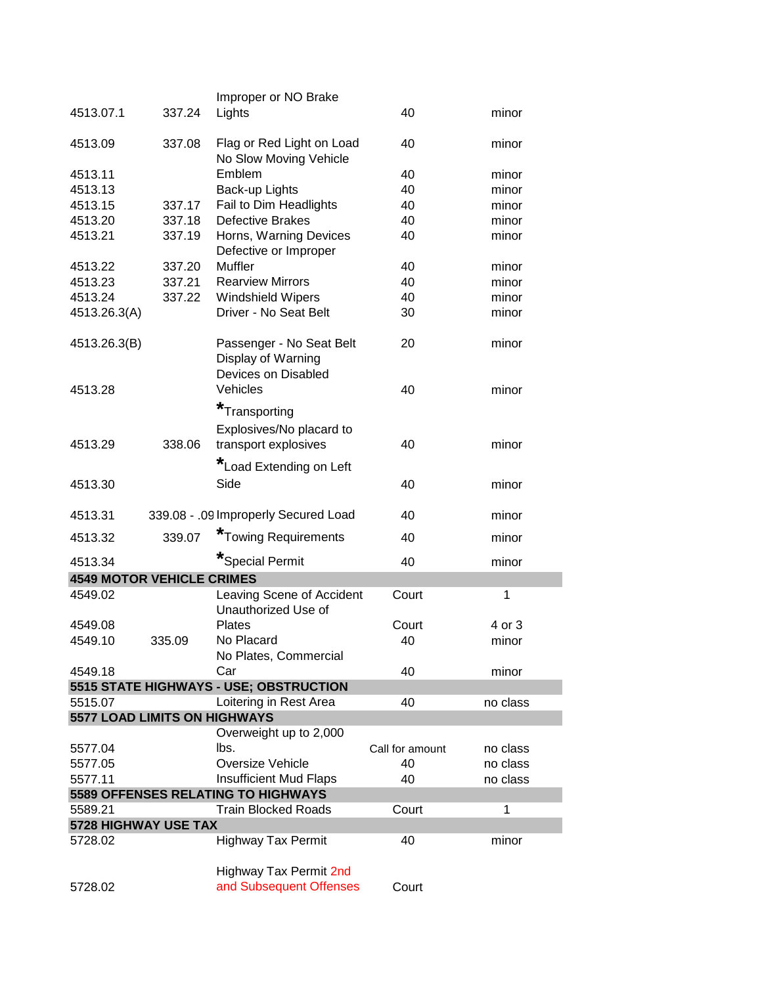|                                     |        | Improper or NO Brake                                                       |                 |          |  |
|-------------------------------------|--------|----------------------------------------------------------------------------|-----------------|----------|--|
| 4513.07.1                           | 337.24 | Lights                                                                     | 40              | minor    |  |
|                                     |        |                                                                            |                 |          |  |
| 4513.09                             | 337.08 | Flag or Red Light on Load<br>No Slow Moving Vehicle                        | 40              | minor    |  |
| 4513.11                             |        | Emblem                                                                     | 40              | minor    |  |
| 4513.13                             |        | Back-up Lights                                                             | 40              | minor    |  |
| 4513.15                             | 337.17 | Fail to Dim Headlights                                                     | 40              | minor    |  |
| 4513.20                             | 337.18 | <b>Defective Brakes</b>                                                    | 40              | minor    |  |
| 4513.21                             | 337.19 | Horns, Warning Devices                                                     | 40              | minor    |  |
|                                     |        | Defective or Improper                                                      |                 |          |  |
| 4513.22                             | 337.20 | Muffler                                                                    | 40              | minor    |  |
| 4513.23                             | 337.21 | <b>Rearview Mirrors</b>                                                    | 40              | minor    |  |
| 4513.24                             | 337.22 | Windshield Wipers                                                          | 40              | minor    |  |
| 4513.26.3(A)                        |        | Driver - No Seat Belt                                                      | 30              | minor    |  |
| 4513.26.3(B)                        |        | Passenger - No Seat Belt                                                   | 20              | minor    |  |
|                                     |        | Display of Warning                                                         |                 |          |  |
|                                     |        | Devices on Disabled                                                        |                 |          |  |
| 4513.28                             |        | Vehicles                                                                   | 40              | minor    |  |
|                                     |        |                                                                            |                 |          |  |
|                                     |        | <b>*Transporting</b>                                                       |                 |          |  |
|                                     |        | Explosives/No placard to                                                   |                 |          |  |
| 4513.29                             | 338.06 | transport explosives                                                       | 40              | minor    |  |
|                                     |        | *Load Extending on Left                                                    |                 |          |  |
| 4513.30                             |        | Side                                                                       | 40              | minor    |  |
|                                     |        |                                                                            |                 |          |  |
| 4513.31                             |        | 339.08 - .09 Improperly Secured Load                                       | 40              | minor    |  |
| 4513.32                             | 339.07 | *Towing Requirements                                                       | 40              | minor    |  |
| 4513.34                             |        | *Special Permit                                                            | 40              | minor    |  |
| <b>4549 MOTOR VEHICLE CRIMES</b>    |        |                                                                            |                 |          |  |
| 4549.02                             |        | Leaving Scene of Accident                                                  | Court           | 1        |  |
|                                     |        | Unauthorized Use of                                                        |                 |          |  |
| 4549.08                             |        | <b>Plates</b>                                                              | Court           | 4 or 3   |  |
| 4549.10                             | 335.09 | No Placard                                                                 | 40              | minor    |  |
|                                     |        | No Plates, Commercial                                                      |                 |          |  |
| 4549.18                             |        | Car                                                                        | 40              | minor    |  |
|                                     |        | 5515 STATE HIGHWAYS - USE; OBSTRUCTION                                     |                 |          |  |
| 5515.07                             |        | Loitering in Rest Area                                                     | 40              | no class |  |
| <b>5577 LOAD LIMITS ON HIGHWAYS</b> |        |                                                                            |                 |          |  |
|                                     |        | Overweight up to 2,000                                                     |                 |          |  |
| 5577.04                             |        | lbs.                                                                       | Call for amount | no class |  |
| 5577.05                             |        | Oversize Vehicle                                                           | 40              | no class |  |
| 5577.11                             |        | <b>Insufficient Mud Flaps</b><br><b>5589 OFFENSES RELATING TO HIGHWAYS</b> | 40              | no class |  |
| 5589.21                             |        | <b>Train Blocked Roads</b>                                                 | Court           | 1        |  |
| <b>5728 HIGHWAY USE TAX</b>         |        |                                                                            |                 |          |  |
| 5728.02                             |        | <b>Highway Tax Permit</b>                                                  | 40              | minor    |  |
|                                     |        |                                                                            |                 |          |  |
|                                     |        | Highway Tax Permit 2nd                                                     |                 |          |  |
| 5728.02                             |        | and Subsequent Offenses                                                    | Court           |          |  |
|                                     |        |                                                                            |                 |          |  |